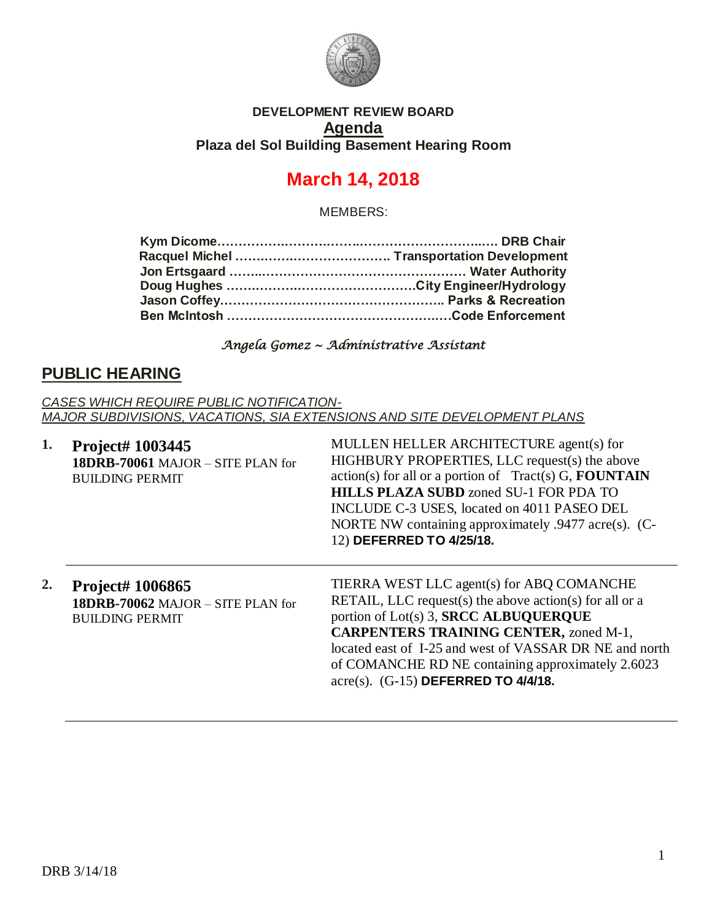

#### **DEVELOPMENT REVIEW BOARD Agenda Plaza del Sol Building Basement Hearing Room**

# **March 14, 2018**

MEMBERS:

#### *Angela Gomez ~ Administrative Assistant*

## **PUBLIC HEARING**

*CASES WHICH REQUIRE PUBLIC NOTIFICATION-MAJOR SUBDIVISIONS, VACATIONS, SIA EXTENSIONS AND SITE DEVELOPMENT PLANS*

| 1. | Project# 1003445<br>18DRB-70061 MAJOR - SITE PLAN for<br><b>BUILDING PERMIT</b> | MULLEN HELLER ARCHITECTURE agent(s) for<br>HIGHBURY PROPERTIES, LLC request(s) the above<br>$action(s)$ for all or a portion of Tract(s) G, <b>FOUNTAIN</b><br><b>HILLS PLAZA SUBD</b> zoned SU-1 FOR PDA TO<br>INCLUDE C-3 USES, located on 4011 PASEO DEL<br>NORTE NW containing approximately $.9477$ acre(s). (C-<br>12) DEFERRED TO 4/25/18.                 |
|----|---------------------------------------------------------------------------------|-------------------------------------------------------------------------------------------------------------------------------------------------------------------------------------------------------------------------------------------------------------------------------------------------------------------------------------------------------------------|
| 2. | Project# 1006865<br>18DRB-70062 MAJOR - SITE PLAN for<br><b>BUILDING PERMIT</b> | TIERRA WEST LLC agent(s) for ABQ COMANCHE<br>RETAIL, LLC request(s) the above action(s) for all or a<br>portion of Lot(s) 3, SRCC ALBUQUERQUE<br><b>CARPENTERS TRAINING CENTER, zoned M-1,</b><br>located east of I-25 and west of VASSAR DR NE and north<br>of COMANCHE RD NE containing approximately 2.6023<br>$\text{acre}(s)$ . $(G-15)$ DEFERRED TO 4/4/18. |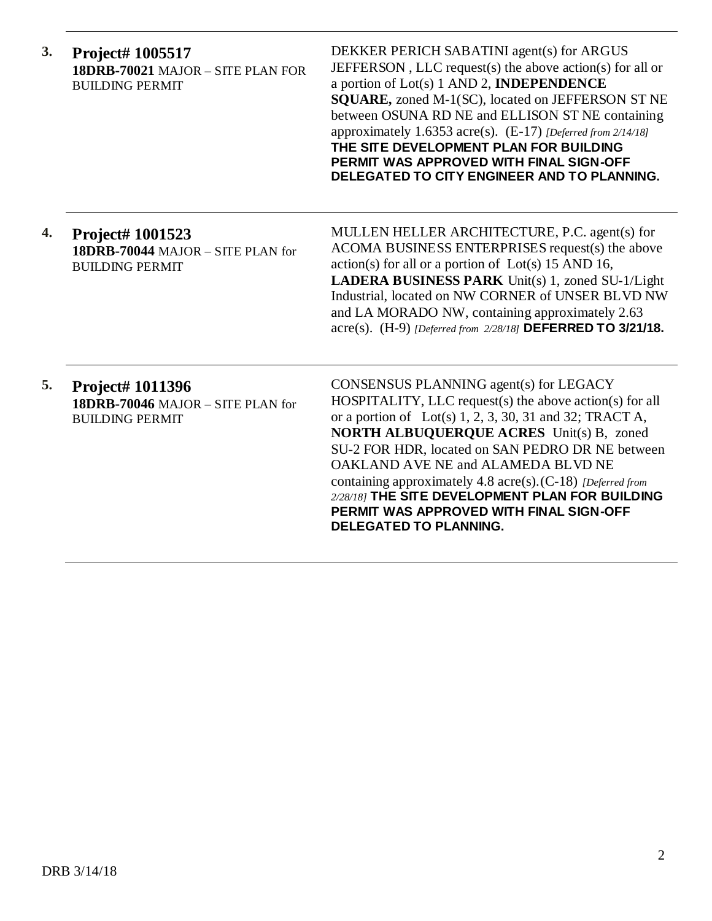| 3. | Project# 1005517<br>18DRB-70021 MAJOR - SITE PLAN FOR<br><b>BUILDING PERMIT</b>        | DEKKER PERICH SABATINI agent(s) for ARGUS<br>JEFFERSON, LLC request(s) the above action(s) for all or<br>a portion of Lot(s) 1 AND 2, <b>INDEPENDENCE</b><br>SQUARE, zoned M-1(SC), located on JEFFERSON ST NE<br>between OSUNA RD NE and ELLISON ST NE containing<br>approximately 1.6353 acre(s). (E-17) [Deferred from 2/14/18]<br>THE SITE DEVELOPMENT PLAN FOR BUILDING<br>PERMIT WAS APPROVED WITH FINAL SIGN-OFF<br>DELEGATED TO CITY ENGINEER AND TO PLANNING.                             |
|----|----------------------------------------------------------------------------------------|----------------------------------------------------------------------------------------------------------------------------------------------------------------------------------------------------------------------------------------------------------------------------------------------------------------------------------------------------------------------------------------------------------------------------------------------------------------------------------------------------|
| 4. | Project# 1001523<br>18DRB-70044 MAJOR - SITE PLAN for<br><b>BUILDING PERMIT</b>        | MULLEN HELLER ARCHITECTURE, P.C. agent(s) for<br>ACOMA BUSINESS ENTERPRISES request(s) the above<br>$action(s)$ for all or a portion of $Lot(s)$ 15 AND 16,<br>LADERA BUSINESS PARK Unit(s) 1, zoned SU-1/Light<br>Industrial, located on NW CORNER of UNSER BLVD NW<br>and LA MORADO NW, containing approximately 2.63<br>acre(s). (H-9) [Deferred from 2/28/18] DEFERRED TO 3/21/18.                                                                                                             |
| 5. | <b>Project# 1011396</b><br>18DRB-70046 MAJOR - SITE PLAN for<br><b>BUILDING PERMIT</b> | CONSENSUS PLANNING agent(s) for LEGACY<br>HOSPITALITY, LLC request(s) the above action(s) for all<br>or a portion of Lot(s) $1, 2, 3, 30, 31$ and 32; TRACT A,<br><b>NORTH ALBUQUERQUE ACRES</b> Unit(s) B, zoned<br>SU-2 FOR HDR, located on SAN PEDRO DR NE between<br>OAKLAND AVE NE and ALAMEDA BLVD NE<br>containing approximately 4.8 acre(s). (C-18) [Deferred from<br>2/28/18] THE SITE DEVELOPMENT PLAN FOR BUILDING<br>PERMIT WAS APPROVED WITH FINAL SIGN-OFF<br>DELEGATED TO PLANNING. |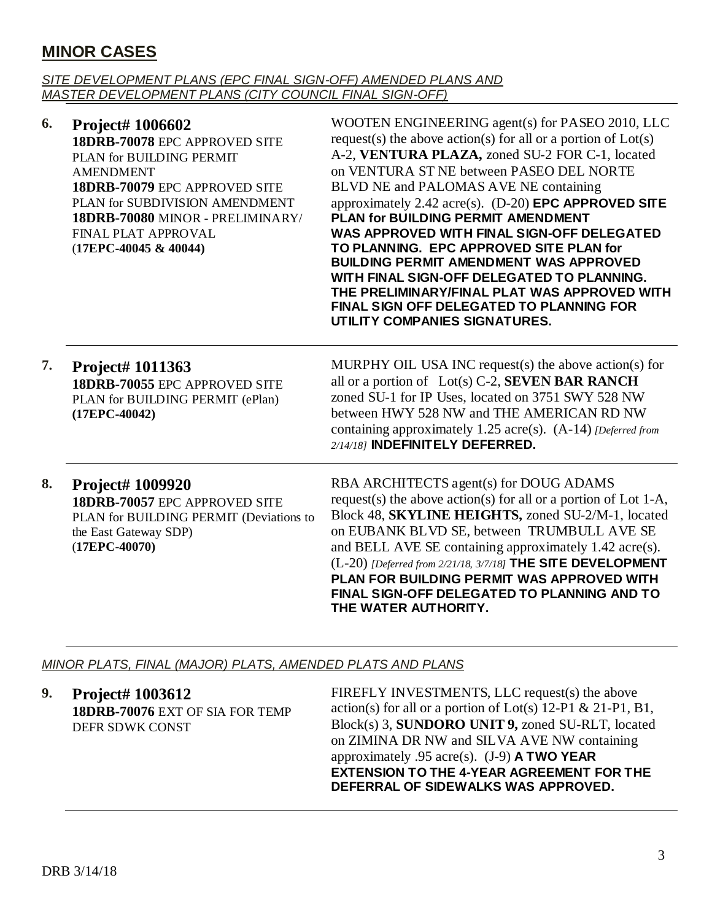## **MINOR CASES**

#### *SITE DEVELOPMENT PLANS (EPC FINAL SIGN-OFF) AMENDED PLANS AND MASTER DEVELOPMENT PLANS (CITY COUNCIL FINAL SIGN-OFF)*

| 6. | Project# 1006602<br>18DRB-70078 EPC APPROVED SITE<br>PLAN for BUILDING PERMIT<br><b>AMENDMENT</b><br>18DRB-70079 EPC APPROVED SITE<br>PLAN for SUBDIVISION AMENDMENT<br>18DRB-70080 MINOR - PRELIMINARY/<br>FINAL PLAT APPROVAL<br>(17EPC-40045 & 40044) | WOOTEN ENGINEERING agent(s) for PASEO 2010, LLC<br>request(s) the above action(s) for all or a portion of $Lot(s)$<br>A-2, VENTURA PLAZA, zoned SU-2 FOR C-1, located<br>on VENTURA ST NE between PASEO DEL NORTE<br>BLVD NE and PALOMAS AVE NE containing<br>approximately $2.42$ acre(s). (D-20) <b>EPC APPROVED SITE</b><br>PLAN for BUILDING PERMIT AMENDMENT<br>WAS APPROVED WITH FINAL SIGN-OFF DELEGATED<br>TO PLANNING. EPC APPROVED SITE PLAN for<br><b>BUILDING PERMIT AMENDMENT WAS APPROVED</b><br>WITH FINAL SIGN-OFF DELEGATED TO PLANNING.<br>THE PRELIMINARY/FINAL PLAT WAS APPROVED WITH<br><b>FINAL SIGN OFF DELEGATED TO PLANNING FOR</b><br>UTILITY COMPANIES SIGNATURES. |
|----|----------------------------------------------------------------------------------------------------------------------------------------------------------------------------------------------------------------------------------------------------------|-----------------------------------------------------------------------------------------------------------------------------------------------------------------------------------------------------------------------------------------------------------------------------------------------------------------------------------------------------------------------------------------------------------------------------------------------------------------------------------------------------------------------------------------------------------------------------------------------------------------------------------------------------------------------------------------------|
| 7. | Project# 1011363<br>18DRB-70055 EPC APPROVED SITE<br>PLAN for BUILDING PERMIT (ePlan)<br>$(17EPC-40042)$                                                                                                                                                 | MURPHY OIL USA INC request(s) the above action(s) for<br>all or a portion of Lot(s) C-2, <b>SEVEN BAR RANCH</b><br>zoned SU-1 for IP Uses, located on 3751 SWY 528 NW<br>between HWY 528 NW and THE AMERICAN RD NW<br>containing approximately 1.25 acre(s). (A-14) [Deferred from<br>2/14/18] INDEFINITELY DEFERRED.                                                                                                                                                                                                                                                                                                                                                                         |
| 8. | Project# 1009920<br>18DRB-70057 EPC APPROVED SITE<br>PLAN for BUILDING PERMIT (Deviations to<br>the East Gateway SDP)<br>$(17EPC-40070)$                                                                                                                 | RBA ARCHITECTS agent(s) for DOUG ADAMS<br>request(s) the above action(s) for all or a portion of Lot 1-A,<br>Block 48, SKYLINE HEIGHTS, zoned SU-2/M-1, located<br>on EUBANK BLVD SE, between TRUMBULL AVE SE<br>and BELL AVE SE containing approximately 1.42 acre(s).<br>(L-20) [Deferred from 2/21/18, 3/7/18] THE SITE DEVELOPMENT<br>PLAN FOR BUILDING PERMIT WAS APPROVED WITH<br><b>FINAL SIGN-OFF DELEGATED TO PLANNING AND TO</b><br>THE WATER AUTHORITY.                                                                                                                                                                                                                            |

*MINOR PLATS, FINAL (MAJOR) PLATS, AMENDED PLATS AND PLANS*

**9. Project# 1003612 18DRB-70076** EXT OF SIA FOR TEMP DEFR SDWK CONST FIREFLY INVESTMENTS, LLC request(s) the above action(s) for all or a portion of Lot(s)  $12-P1 \& 21-P1, B1$ , Block(s) 3, **SUNDORO UNIT 9,** zoned SU-RLT, located on ZIMINA DR NW and SILVA AVE NW containing approximately .95 acre(s). (J-9) **A TWO YEAR EXTENSION TO THE 4-YEAR AGREEMENT FOR THE DEFERRAL OF SIDEWALKS WAS APPROVED.**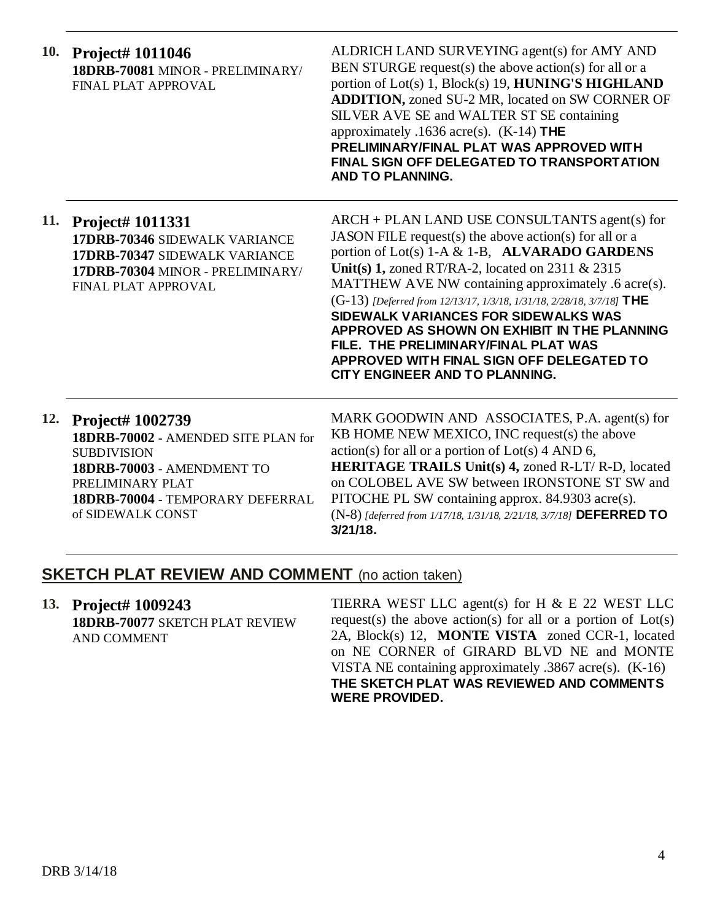| 10. | <b>Project# 1011046</b><br>18DRB-70081 MINOR - PRELIMINARY/<br>FINAL PLAT APPROVAL                                                                                                       | ALDRICH LAND SURVEYING agent(s) for AMY AND<br>BEN STURGE request(s) the above action(s) for all or a<br>portion of Lot(s) 1, Block(s) 19, HUNING'S HIGHLAND<br>ADDITION, zoned SU-2 MR, located on SW CORNER OF<br>SILVER AVE SE and WALTER ST SE containing<br>approximately .1636 acre(s). $(K-14)$ THE<br>PRELIMINARY/FINAL PLAT WAS APPROVED WITH<br>FINAL SIGN OFF DELEGATED TO TRANSPORTATION<br>AND TO PLANNING.                                                                                                                                       |
|-----|------------------------------------------------------------------------------------------------------------------------------------------------------------------------------------------|----------------------------------------------------------------------------------------------------------------------------------------------------------------------------------------------------------------------------------------------------------------------------------------------------------------------------------------------------------------------------------------------------------------------------------------------------------------------------------------------------------------------------------------------------------------|
|     | 11. Project# 1011331<br>17DRB-70346 SIDEWALK VARIANCE<br>17DRB-70347 SIDEWALK VARIANCE<br>17DRB-70304 MINOR - PRELIMINARY/<br>FINAL PLAT APPROVAL                                        | ARCH + PLAN LAND USE CONSULTANTS agent(s) for<br>JASON FILE request(s) the above action(s) for all or a<br>portion of Lot(s) 1-A & 1-B, ALVARADO GARDENS<br>Unit(s) 1, zoned RT/RA-2, located on $2311 \& 2315$<br>MATTHEW AVE NW containing approximately .6 acre(s).<br>(G-13) [Deferred from 12/13/17, 1/3/18, 1/31/18, 2/28/18, 3/7/18] THE<br>SIDEWALK VARIANCES FOR SIDEWALKS WAS<br>APPROVED AS SHOWN ON EXHIBIT IN THE PLANNING<br>FILE. THE PRELIMINARY/FINAL PLAT WAS<br>APPROVED WITH FINAL SIGN OFF DELEGATED TO<br>CITY ENGINEER AND TO PLANNING. |
| 12. | Project# 1002739<br>18DRB-70002 - AMENDED SITE PLAN for<br><b>SUBDIVISION</b><br>18DRB-70003 - AMENDMENT TO<br>PRELIMINARY PLAT<br>18DRB-70004 - TEMPORARY DEFERRAL<br>of SIDEWALK CONST | MARK GOODWIN AND ASSOCIATES, P.A. agent(s) for<br>KB HOME NEW MEXICO, INC request(s) the above<br>$action(s)$ for all or a portion of $Lot(s)$ 4 AND 6,<br><b>HERITAGE TRAILS Unit(s) 4, zoned R-LT/ R-D, located</b><br>on COLOBEL AVE SW between IRONSTONE ST SW and<br>PITOCHE PL SW containing approx. 84.9303 acre(s).<br>(N-8) [deferred from 1/17/18, 1/31/18, 2/21/18, 3/7/18] DEFERRED TO<br>$3/21/18$ .                                                                                                                                              |

### **SKETCH PLAT REVIEW AND COMMENT** (no action taken)

**13. Project# 1009243 18DRB-70077** SKETCH PLAT REVIEW AND COMMENT

TIERRA WEST LLC agent(s) for H & E 22 WEST LLC request(s) the above action(s) for all or a portion of  $Lot(s)$ 2A, Block(s) 12, **MONTE VISTA** zoned CCR-1, located on NE CORNER of GIRARD BLVD NE and MONTE VISTA NE containing approximately .3867 acre(s). (K-16) **THE SKETCH PLAT WAS REVIEWED AND COMMENTS WERE PROVIDED.**